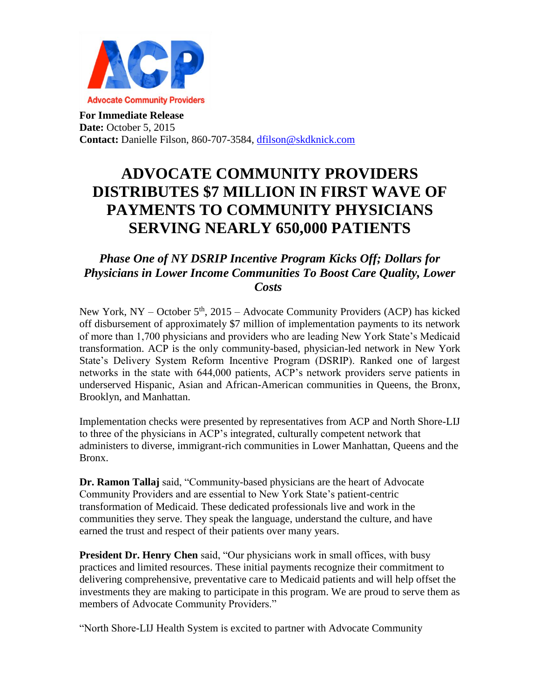

**For Immediate Release Date: October 5, 2015 Contact:** Danielle Filson, 860-707-3584, [dfilson@skdknick.com](mailto:dfilson@skdknick.com)

## **ADVOCATE COMMUNITY PROVIDERS DISTRIBUTES \$7 MILLION IN FIRST WAVE OF PAYMENTS TO COMMUNITY PHYSICIANS SERVING NEARLY 650,000 PATIENTS**

## *Phase One of NY DSRIP Incentive Program Kicks Off; Dollars for Physicians in Lower Income Communities To Boost Care Quality, Lower Costs*

New York, NY – October  $5<sup>th</sup>$ , 2015 – Advocate Community Providers (ACP) has kicked off disbursement of approximately \$7 million of implementation payments to its network of more than 1,700 physicians and providers who are leading New York State's Medicaid transformation. ACP is the only community-based, physician-led network in New York State's Delivery System Reform Incentive Program (DSRIP). Ranked one of largest networks in the state with 644,000 patients, ACP's network providers serve patients in underserved Hispanic, Asian and African-American communities in Queens, the Bronx, Brooklyn, and Manhattan.

Implementation checks were presented by representatives from ACP and North Shore-LIJ to three of the physicians in ACP's integrated, culturally competent network that administers to diverse, immigrant-rich communities in Lower Manhattan, Queens and the Bronx.

**Dr. Ramon Tallaj** said, "Community-based physicians are the heart of Advocate Community Providers and are essential to New York State's patient-centric transformation of Medicaid. These dedicated professionals live and work in the communities they serve. They speak the language, understand the culture, and have earned the trust and respect of their patients over many years.

**President Dr. Henry Chen** said, "Our physicians work in small offices, with busy practices and limited resources. These initial payments recognize their commitment to delivering comprehensive, preventative care to Medicaid patients and will help offset the investments they are making to participate in this program. We are proud to serve them as members of Advocate Community Providers."

"North Shore-LIJ Health System is excited to partner with Advocate Community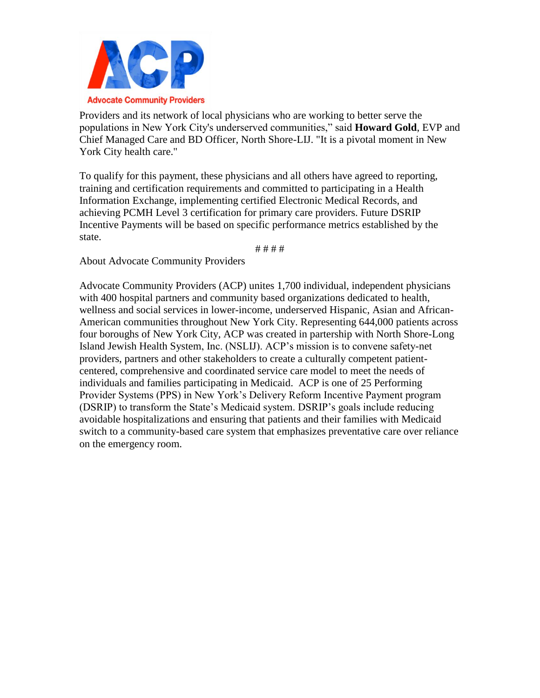

Providers and its network of local physicians who are working to better serve the populations in New York City's underserved communities," said **Howard Gold**, EVP and Chief Managed Care and BD Officer, North Shore-LIJ. "It is a pivotal moment in New York City health care."

To qualify for this payment, these physicians and all others have agreed to reporting, training and certification requirements and committed to participating in a Health Information Exchange, implementing certified Electronic Medical Records, and achieving PCMH Level 3 certification for primary care providers. Future DSRIP Incentive Payments will be based on specific performance metrics established by the state.

# # # #

About Advocate Community Providers

Advocate Community Providers (ACP) unites 1,700 individual, independent physicians with 400 hospital partners and community based organizations dedicated to health, wellness and social services in lower-income, underserved Hispanic, Asian and African-American communities throughout New York City. Representing 644,000 patients across four boroughs of New York City, ACP was created in partership with North Shore-Long Island Jewish Health System, Inc. (NSLIJ). ACP's mission is to convene safety-net providers, partners and other stakeholders to create a culturally competent patientcentered, comprehensive and coordinated service care model to meet the needs of individuals and families participating in Medicaid. ACP is one of 25 Performing Provider Systems (PPS) in New York's Delivery Reform Incentive Payment program (DSRIP) to transform the State's Medicaid system. DSRIP's goals include reducing avoidable hospitalizations and ensuring that patients and their families with Medicaid switch to a community-based care system that emphasizes preventative care over reliance on the emergency room.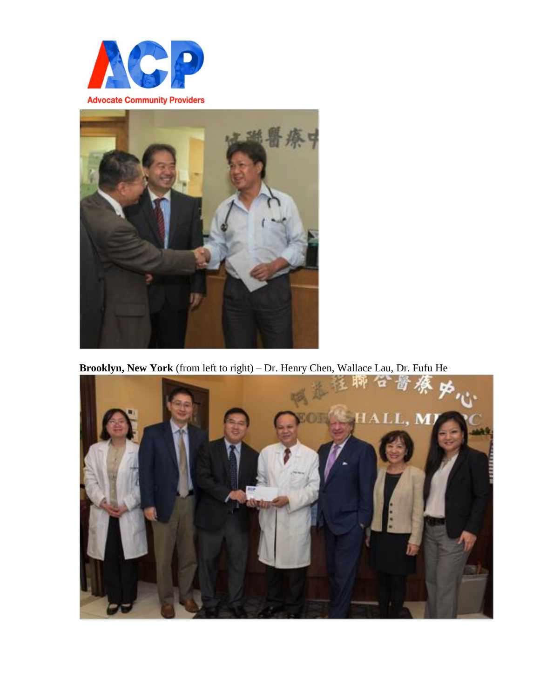



**Brooklyn, New York** (from left to right) – Dr. Henry Chen, Wallace Lau, Dr. Fufu He